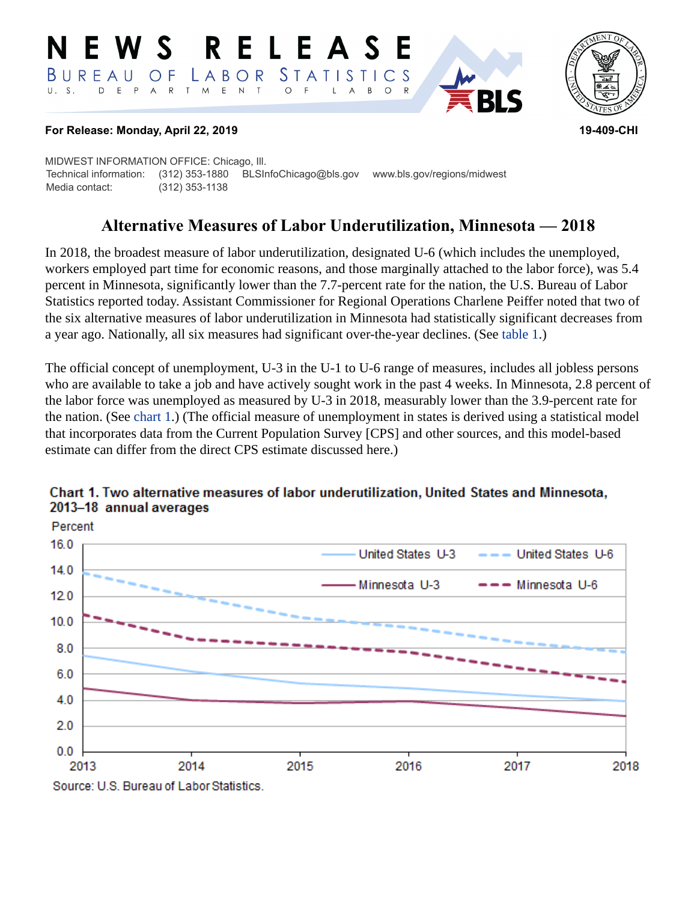#### RELEASE **N E W S STATISTICS**  $B$  U R E A U LABOR O F D E P A R T M E N T  $\circ$ B  $\circ$  $\overline{A}$



#### **For Release: Monday, April 22, 2019 19-409-CHI**

MIDWEST INFORMATION OFFICE: Chicago, Ill. Technical information: (312) 353-1880 BLSInfoChicago@bls.gov www.bls.gov/regions/midwest Media contact: (312) 353-1138

# **Alternative Measures of Labor Underutilization, Minnesota — 2018**

In 2018, the broadest measure of labor underutilization, designated U-6 (which includes the unemployed, workers employed part time for economic reasons, and those marginally attached to the labor force), was 5.4 percent in Minnesota, significantly lower than the 7.7-percent rate for the nation, the U.S. Bureau of Labor Statistics reported today. Assistant Commissioner for Regional Operations Charlene Peiffer noted that two of the six alternative measures of labor underutilization in Minnesota had statistically significant decreases from a year ago. Nationally, all six measures had significant over-the-year declines. (See [table 1](#page-3-0).)

The official concept of unemployment, U-3 in the U-1 to U-6 range of measures, includes all jobless persons who are available to take a job and have actively sought work in the past 4 weeks. In Minnesota, 2.8 percent of the labor force was unemployed as measured by U-3 in 2018, measurably lower than the 3.9-percent rate for the nation. (See [chart 1.](#page-0-0)) (The official measure of unemployment in states is derived using a statistical model that incorporates data from the Current Population Survey [CPS] and other sources, and this model-based estimate can differ from the direct CPS estimate discussed here.)



### <span id="page-0-0"></span>Chart 1. Two alternative measures of labor underutilization, United States and Minnesota, 2013-18 annual averages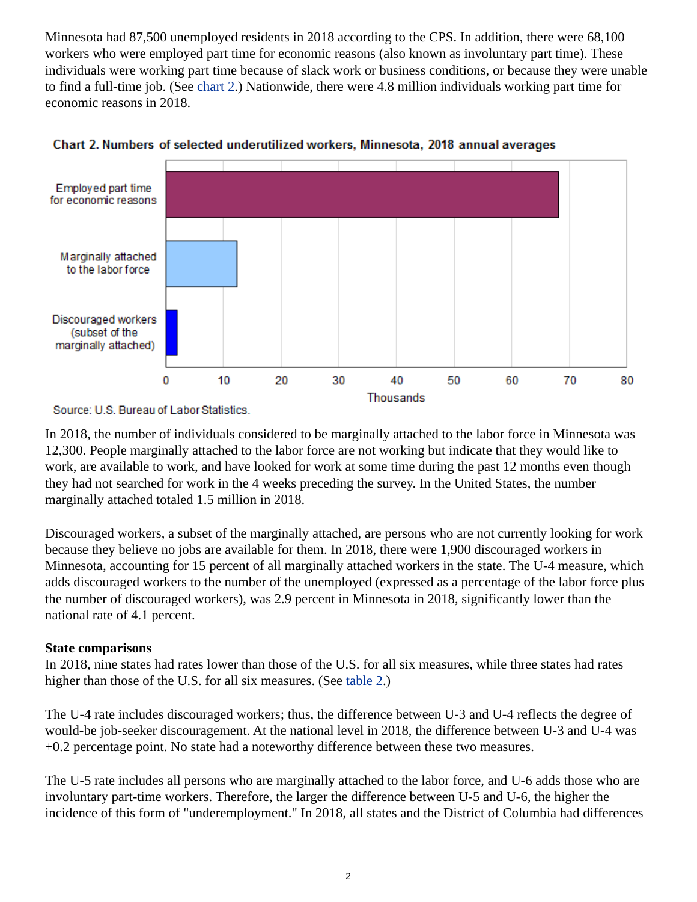Minnesota had 87,500 unemployed residents in 2018 according to the CPS. In addition, there were 68,100 workers who were employed part time for economic reasons (also known as involuntary part time). These individuals were working part time because of slack work or business conditions, or because they were unable to find a full-time job. (See [chart 2](#page-1-0).) Nationwide, there were 4.8 million individuals working part time for economic reasons in 2018.



<span id="page-1-0"></span>

In 2018, the number of individuals considered to be marginally attached to the labor force in Minnesota was 12,300. People marginally attached to the labor force are not working but indicate that they would like to work, are available to work, and have looked for work at some time during the past 12 months even though they had not searched for work in the 4 weeks preceding the survey. In the United States, the number marginally attached totaled 1.5 million in 2018.

Discouraged workers, a subset of the marginally attached, are persons who are not currently looking for work because they believe no jobs are available for them. In 2018, there were 1,900 discouraged workers in Minnesota, accounting for 15 percent of all marginally attached workers in the state. The U-4 measure, which adds discouraged workers to the number of the unemployed (expressed as a percentage of the labor force plus the number of discouraged workers), was 2.9 percent in Minnesota in 2018, significantly lower than the national rate of 4.1 percent.

## **State comparisons**

In 2018, nine states had rates lower than those of the U.S. for all six measures, while three states had rates higher than those of the U.S. for all six measures. (See [table 2](#page-4-0).)

The U-4 rate includes discouraged workers; thus, the difference between U-3 and U-4 reflects the degree of would-be job-seeker discouragement. At the national level in 2018, the difference between U-3 and U-4 was +0.2 percentage point. No state had a noteworthy difference between these two measures.

The U-5 rate includes all persons who are marginally attached to the labor force, and U-6 adds those who are involuntary part-time workers. Therefore, the larger the difference between U-5 and U-6, the higher the incidence of this form of "underemployment." In 2018, all states and the District of Columbia had differences

Source: U.S. Bureau of Labor Statistics.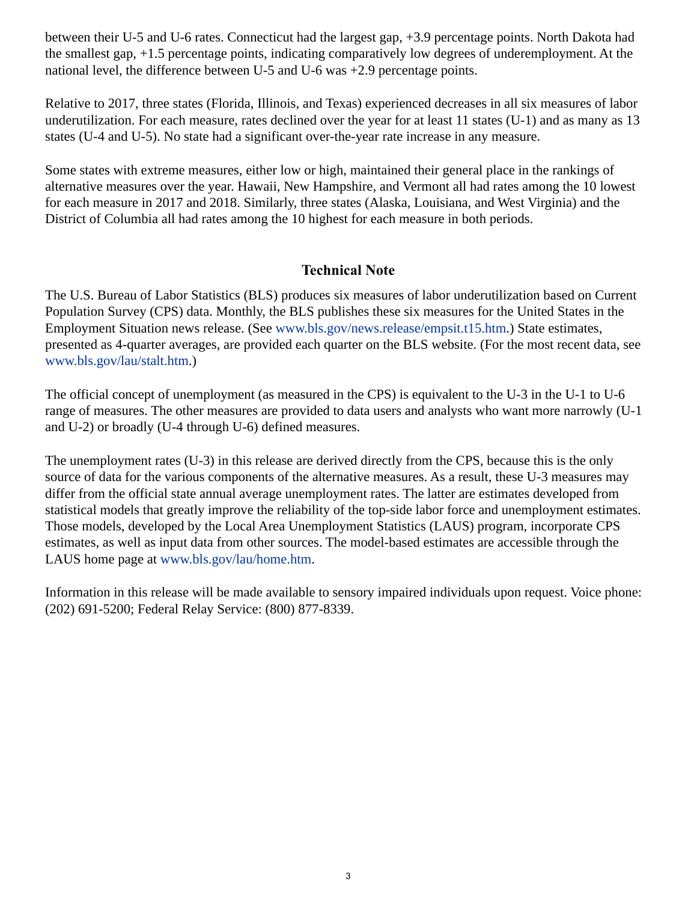between their U-5 and U-6 rates. Connecticut had the largest gap, +3.9 percentage points. North Dakota had the smallest gap, +1.5 percentage points, indicating comparatively low degrees of underemployment. At the national level, the difference between U-5 and U-6 was +2.9 percentage points.

Relative to 2017, three states (Florida, Illinois, and Texas) experienced decreases in all six measures of labor underutilization. For each measure, rates declined over the year for at least 11 states (U-1) and as many as 13 states (U-4 and U-5). No state had a significant over-the-year rate increase in any measure.

Some states with extreme measures, either low or high, maintained their general place in the rankings of alternative measures over the year. Hawaii, New Hampshire, and Vermont all had rates among the 10 lowest for each measure in 2017 and 2018. Similarly, three states (Alaska, Louisiana, and West Virginia) and the District of Columbia all had rates among the 10 highest for each measure in both periods.

### **Technical Note**

The U.S. Bureau of Labor Statistics (BLS) produces six measures of labor underutilization based on Current Population Survey (CPS) data. Monthly, the BLS publishes these six measures for the United States in the Employment Situation news release. (See [www.bls.gov/news.release/empsit.t15.htm.](https://www.bls.gov/news.release/empsit.t15.htm)) State estimates, presented as 4-quarter averages, are provided each quarter on the BLS website. (For the most recent data, see [www.bls.gov/lau/stalt.htm.](https://www.bls.gov/lau/stalt.htm))

The official concept of unemployment (as measured in the CPS) is equivalent to the U-3 in the U-1 to U-6 range of measures. The other measures are provided to data users and analysts who want more narrowly (U-1 and U-2) or broadly (U-4 through U-6) defined measures.

The unemployment rates (U-3) in this release are derived directly from the CPS, because this is the only source of data for the various components of the alternative measures. As a result, these U-3 measures may differ from the official state annual average unemployment rates. The latter are estimates developed from statistical models that greatly improve the reliability of the top-side labor force and unemployment estimates. Those models, developed by the Local Area Unemployment Statistics (LAUS) program, incorporate CPS estimates, as well as input data from other sources. The model-based estimates are accessible through the LAUS home page at [www.bls.gov/lau/home.htm.](https://www.bls.gov/lau/home.htm)

Information in this release will be made available to sensory impaired individuals upon request. Voice phone: (202) 691-5200; Federal Relay Service: (800) 877-8339.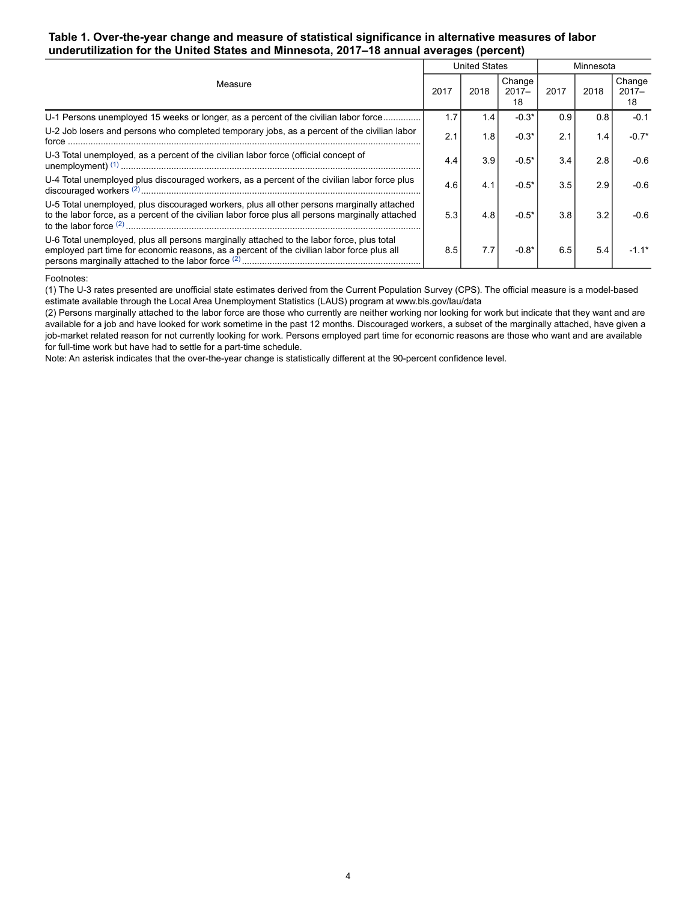#### <span id="page-3-0"></span>**Table 1. Over-the-year change and measure of statistical significance in alternative measures of labor underutilization for the United States and Minnesota, 2017–18 annual averages (percent)**

|                                                                                                                                                                                                 |      | <b>United States</b> |                          |      | Minnesota |                          |  |
|-------------------------------------------------------------------------------------------------------------------------------------------------------------------------------------------------|------|----------------------|--------------------------|------|-----------|--------------------------|--|
| Measure                                                                                                                                                                                         | 2017 | 2018                 | Change<br>$2017 -$<br>18 | 2017 | 2018      | Change<br>$2017 -$<br>18 |  |
| U-1 Persons unemployed 15 weeks or longer, as a percent of the civilian labor force                                                                                                             | 1.7  | 1.4                  | $-0.3*$                  | 0.9  | 0.8       | $-0.1$                   |  |
| U-2 Job losers and persons who completed temporary jobs, as a percent of the civilian labor<br>force                                                                                            | 2.1  | 1.8                  | $-0.3*$                  | 2.1  | 1.4       | $-0.7*$                  |  |
| U-3 Total unemployed, as a percent of the civilian labor force (official concept of                                                                                                             | 4.4  | 3.9                  | $-0.5*$                  | 3.4  | 2.8       | $-0.6$                   |  |
| U-4 Total unemployed plus discouraged workers, as a percent of the civilian labor force plus                                                                                                    | 4.6  | 4.1                  | $-0.5*$                  | 3.5  | 2.9       | $-0.6$                   |  |
| U-5 Total unemployed, plus discouraged workers, plus all other persons marginally attached<br>to the labor force, as a percent of the civilian labor force plus all persons marginally attached | 5.3  | 4.8                  | $-0.5*$                  | 3.8  | 3.2       | $-0.6$                   |  |
| U-6 Total unemployed, plus all persons marginally attached to the labor force, plus total<br>employed part time for economic reasons, as a percent of the civilian labor force plus all         | 8.5  | 7.7                  | $-0.8*$                  | 6.5  | 5.4       |                          |  |

#### <span id="page-3-1"></span>Footnotes:

(1) The U-3 rates presented are unofficial state estimates derived from the Current Population Survey (CPS). The official measure is a model-based estimate available through the Local Area Unemployment Statistics (LAUS) program at [www.bls.gov/lau/data](https://www.bls.gov/lau/data.htm)

(2) Persons marginally attached to the labor force are those who currently are neither working nor looking for work but indicate that they want and are available for a job and have looked for work sometime in the past 12 months. Discouraged workers, a subset of the marginally attached, have given a job-market related reason for not currently looking for work. Persons employed part time for economic reasons are those who want and are available for full-time work but have had to settle for a part-time schedule.

Note: An asterisk indicates that the over-the-year change is statistically different at the 90-percent confidence level.